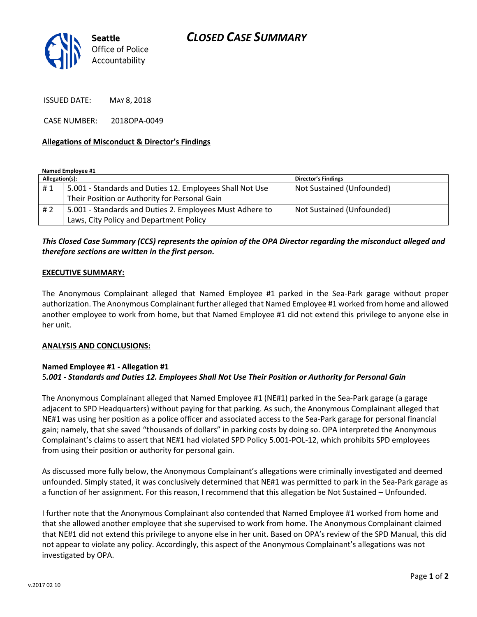

ISSUED DATE: MAY 8, 2018

CASE NUMBER: 2018OPA-0049

#### **Allegations of Misconduct & Director's Findings**

**Named Employee #1**

| Allegation(s): |                                                          | <b>Director's Findings</b> |
|----------------|----------------------------------------------------------|----------------------------|
| #1             | 5.001 - Standards and Duties 12. Employees Shall Not Use | Not Sustained (Unfounded)  |
|                | Their Position or Authority for Personal Gain            |                            |
| #2             | 5.001 - Standards and Duties 2. Employees Must Adhere to | Not Sustained (Unfounded)  |
|                | Laws, City Policy and Department Policy                  |                            |

## *This Closed Case Summary (CCS) represents the opinion of the OPA Director regarding the misconduct alleged and therefore sections are written in the first person.*

#### **EXECUTIVE SUMMARY:**

The Anonymous Complainant alleged that Named Employee #1 parked in the Sea-Park garage without proper authorization. The Anonymous Complainant further alleged that Named Employee #1 worked from home and allowed another employee to work from home, but that Named Employee #1 did not extend this privilege to anyone else in her unit.

#### **ANALYSIS AND CONCLUSIONS:**

### **Named Employee #1 - Allegation #1** 5*.001 - Standards and Duties 12. Employees Shall Not Use Their Position or Authority for Personal Gain*

The Anonymous Complainant alleged that Named Employee #1 (NE#1) parked in the Sea-Park garage (a garage adjacent to SPD Headquarters) without paying for that parking. As such, the Anonymous Complainant alleged that NE#1 was using her position as a police officer and associated access to the Sea-Park garage for personal financial gain; namely, that she saved "thousands of dollars" in parking costs by doing so. OPA interpreted the Anonymous Complainant's claims to assert that NE#1 had violated SPD Policy 5.001-POL-12, which prohibits SPD employees from using their position or authority for personal gain.

As discussed more fully below, the Anonymous Complainant's allegations were criminally investigated and deemed unfounded. Simply stated, it was conclusively determined that NE#1 was permitted to park in the Sea-Park garage as a function of her assignment. For this reason, I recommend that this allegation be Not Sustained – Unfounded.

I further note that the Anonymous Complainant also contended that Named Employee #1 worked from home and that she allowed another employee that she supervised to work from home. The Anonymous Complainant claimed that NE#1 did not extend this privilege to anyone else in her unit. Based on OPA's review of the SPD Manual, this did not appear to violate any policy. Accordingly, this aspect of the Anonymous Complainant's allegations was not investigated by OPA.